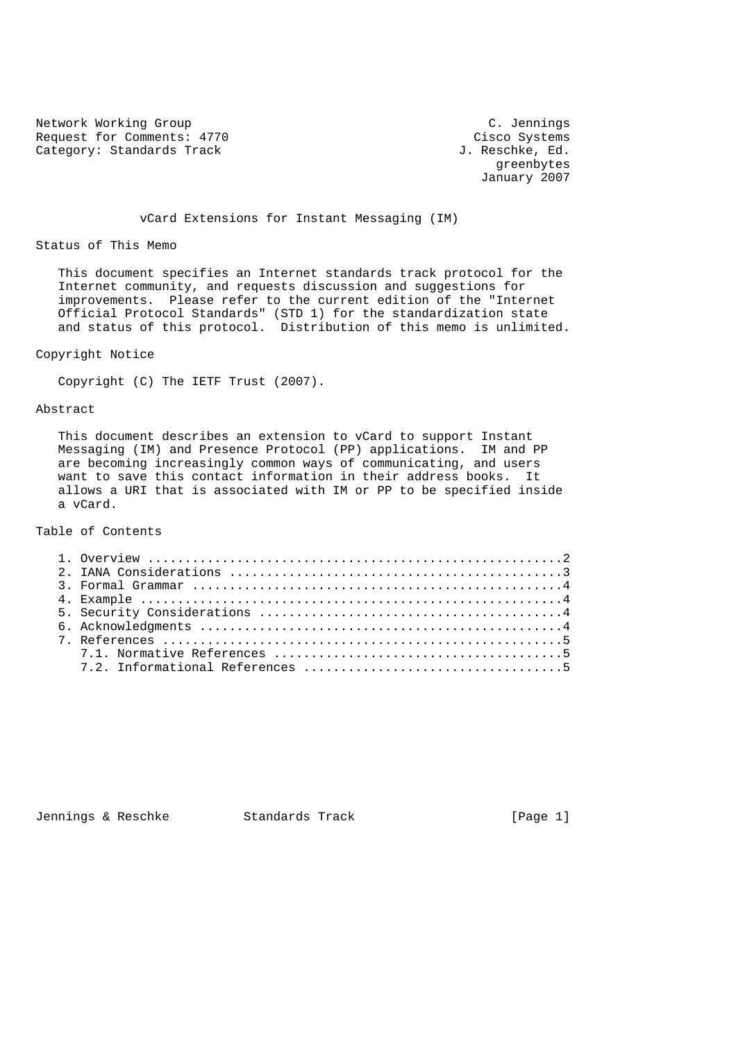Network Working Group<br>
Request for Comments: 4770 Cisco Systems Request for Comments: 4770 Cisco Systems<br>
Category: Standards Track Gategory: Standards Track J. Reschke, Ed. Category: Standards Track

 greenbytes January 2007

vCard Extensions for Instant Messaging (IM)

Status of This Memo

 This document specifies an Internet standards track protocol for the Internet community, and requests discussion and suggestions for improvements. Please refer to the current edition of the "Internet Official Protocol Standards" (STD 1) for the standardization state and status of this protocol. Distribution of this memo is unlimited.

Copyright Notice

Copyright (C) The IETF Trust (2007).

Abstract

 This document describes an extension to vCard to support Instant Messaging (IM) and Presence Protocol (PP) applications. IM and PP are becoming increasingly common ways of communicating, and users want to save this contact information in their address books. It allows a URI that is associated with IM or PP to be specified inside a vCard.

Table of Contents

Jennings & Reschke Standards Track [Page 1]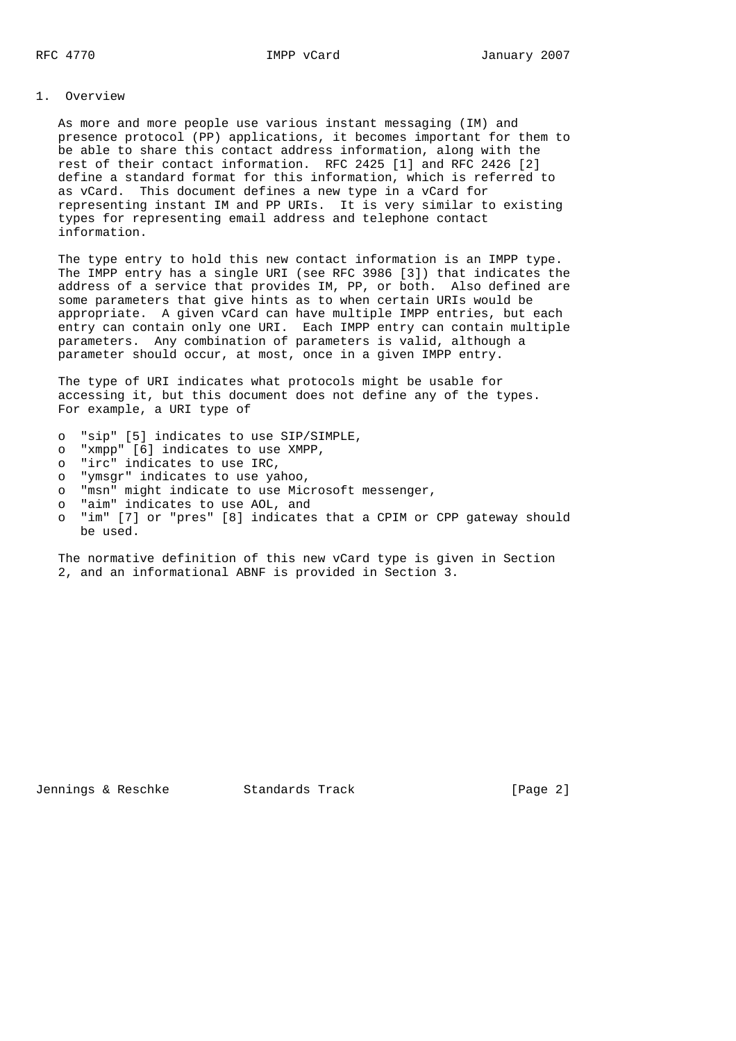## 1. Overview

 As more and more people use various instant messaging (IM) and presence protocol (PP) applications, it becomes important for them to be able to share this contact address information, along with the rest of their contact information. RFC 2425 [1] and RFC 2426 [2] define a standard format for this information, which is referred to as vCard. This document defines a new type in a vCard for representing instant IM and PP URIs. It is very similar to existing types for representing email address and telephone contact information.

 The type entry to hold this new contact information is an IMPP type. The IMPP entry has a single URI (see RFC 3986 [3]) that indicates the address of a service that provides IM, PP, or both. Also defined are some parameters that give hints as to when certain URIs would be appropriate. A given vCard can have multiple IMPP entries, but each entry can contain only one URI. Each IMPP entry can contain multiple parameters. Any combination of parameters is valid, although a parameter should occur, at most, once in a given IMPP entry.

 The type of URI indicates what protocols might be usable for accessing it, but this document does not define any of the types. For example, a URI type of

- o "sip" [5] indicates to use SIP/SIMPLE,
- o "xmpp" [6] indicates to use XMPP,
- o "irc" indicates to use IRC,
- o "ymsgr" indicates to use yahoo,
- o "msn" might indicate to use Microsoft messenger,
- o "aim" indicates to use AOL, and
- o "im" [7] or "pres" [8] indicates that a CPIM or CPP gateway should be used.

 The normative definition of this new vCard type is given in Section 2, and an informational ABNF is provided in Section 3.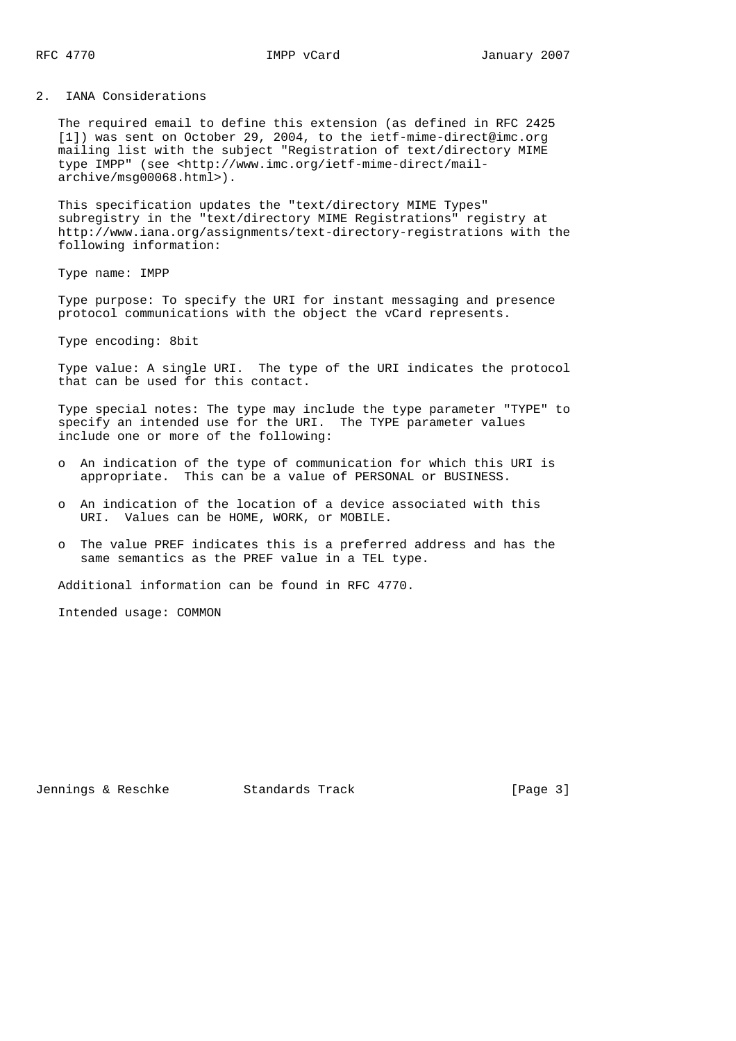#### 2. IANA Considerations

 The required email to define this extension (as defined in RFC 2425 [1]) was sent on October 29, 2004, to the ietf-mime-direct@imc.org mailing list with the subject "Registration of text/directory MIME type IMPP" (see <http://www.imc.org/ietf-mime-direct/mail archive/msg00068.html>).

 This specification updates the "text/directory MIME Types" subregistry in the "text/directory MIME Registrations" registry at http://www.iana.org/assignments/text-directory-registrations with the following information:

Type name: IMPP

 Type purpose: To specify the URI for instant messaging and presence protocol communications with the object the vCard represents.

Type encoding: 8bit

 Type value: A single URI. The type of the URI indicates the protocol that can be used for this contact.

 Type special notes: The type may include the type parameter "TYPE" to specify an intended use for the URI. The TYPE parameter values include one or more of the following:

- o An indication of the type of communication for which this URI is appropriate. This can be a value of PERSONAL or BUSINESS.
- o An indication of the location of a device associated with this URI. Values can be HOME, WORK, or MOBILE.
- o The value PREF indicates this is a preferred address and has the same semantics as the PREF value in a TEL type.

Additional information can be found in RFC 4770.

Intended usage: COMMON

Jennings & Reschke Standards Track [Page 3]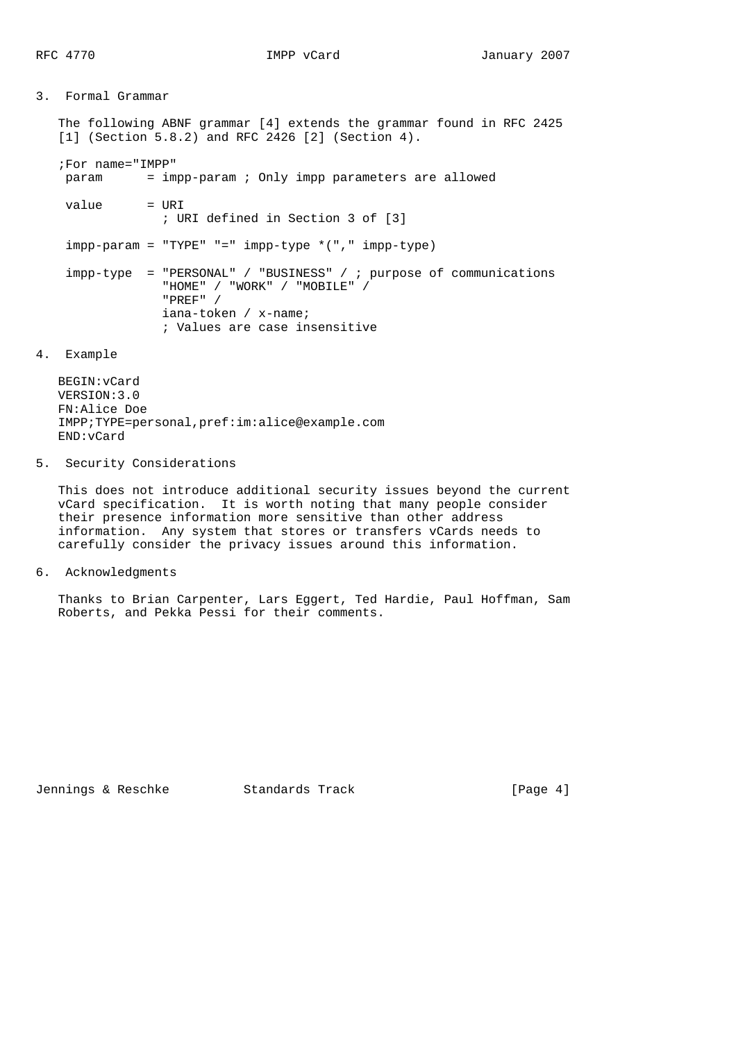# 3. Formal Grammar The following ABNF grammar [4] extends the grammar found in RFC 2425 [1] (Section 5.8.2) and RFC 2426 [2] (Section 4). ;For name="IMPP" param = impp-param ; Only impp parameters are allowed  $value$  = URI ; URI defined in Section 3 of [3]  $impp$ -param = "TYPE" "="  $impp$ -type  $*($  ","  $impp$ -type) impp-type = "PERSONAL" / "BUSINESS" / ; purpose of communications "HOME" / "WORK" / "MOBILE" / "PREF" / iana-token / x-name; ; Values are case insensitive

#### 4. Example

 BEGIN:vCard VERSION:3.0 FN:Alice Doe IMPP;TYPE=personal,pref:im:alice@example.com END:vCard

## 5. Security Considerations

 This does not introduce additional security issues beyond the current vCard specification. It is worth noting that many people consider their presence information more sensitive than other address information. Any system that stores or transfers vCards needs to carefully consider the privacy issues around this information.

6. Acknowledgments

 Thanks to Brian Carpenter, Lars Eggert, Ted Hardie, Paul Hoffman, Sam Roberts, and Pekka Pessi for their comments.

Jennings & Reschke Standards Track [Page 4]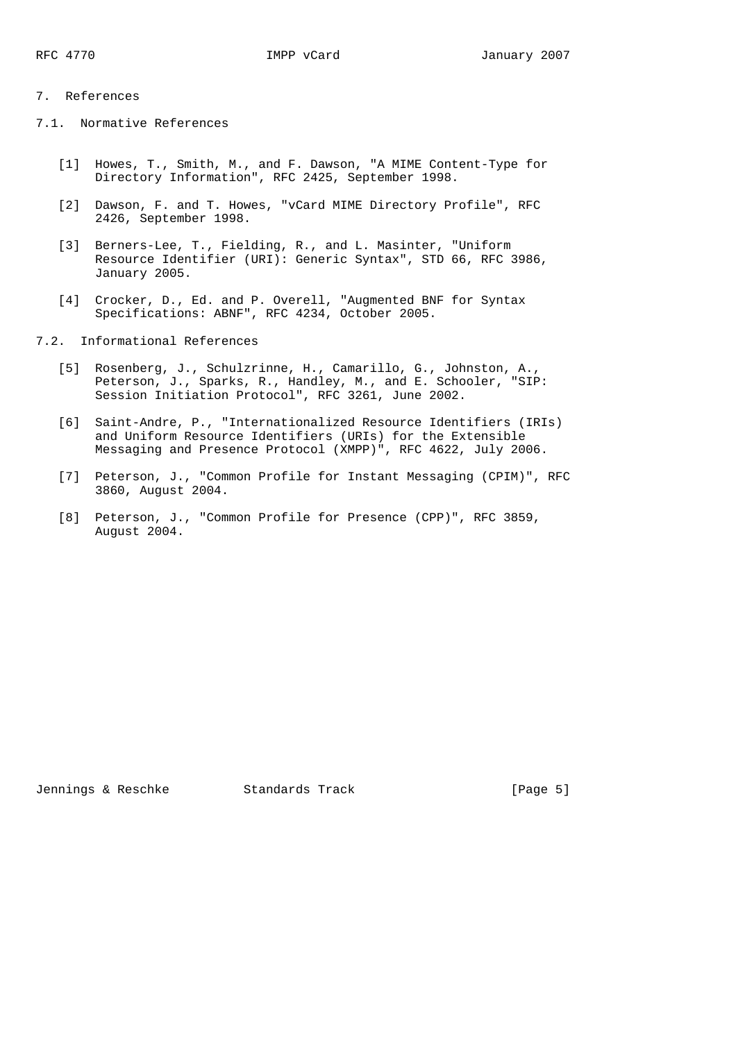## 7. References

- 7.1. Normative References
	- [1] Howes, T., Smith, M., and F. Dawson, "A MIME Content-Type for Directory Information", RFC 2425, September 1998.
	- [2] Dawson, F. and T. Howes, "vCard MIME Directory Profile", RFC 2426, September 1998.
	- [3] Berners-Lee, T., Fielding, R., and L. Masinter, "Uniform Resource Identifier (URI): Generic Syntax", STD 66, RFC 3986, January 2005.
	- [4] Crocker, D., Ed. and P. Overell, "Augmented BNF for Syntax Specifications: ABNF", RFC 4234, October 2005.
- 7.2. Informational References
	- [5] Rosenberg, J., Schulzrinne, H., Camarillo, G., Johnston, A., Peterson, J., Sparks, R., Handley, M., and E. Schooler, "SIP: Session Initiation Protocol", RFC 3261, June 2002.
	- [6] Saint-Andre, P., "Internationalized Resource Identifiers (IRIs) and Uniform Resource Identifiers (URIs) for the Extensible Messaging and Presence Protocol (XMPP)", RFC 4622, July 2006.
	- [7] Peterson, J., "Common Profile for Instant Messaging (CPIM)", RFC 3860, August 2004.
	- [8] Peterson, J., "Common Profile for Presence (CPP)", RFC 3859, August 2004.

Jennings & Reschke Standards Track [Page 5]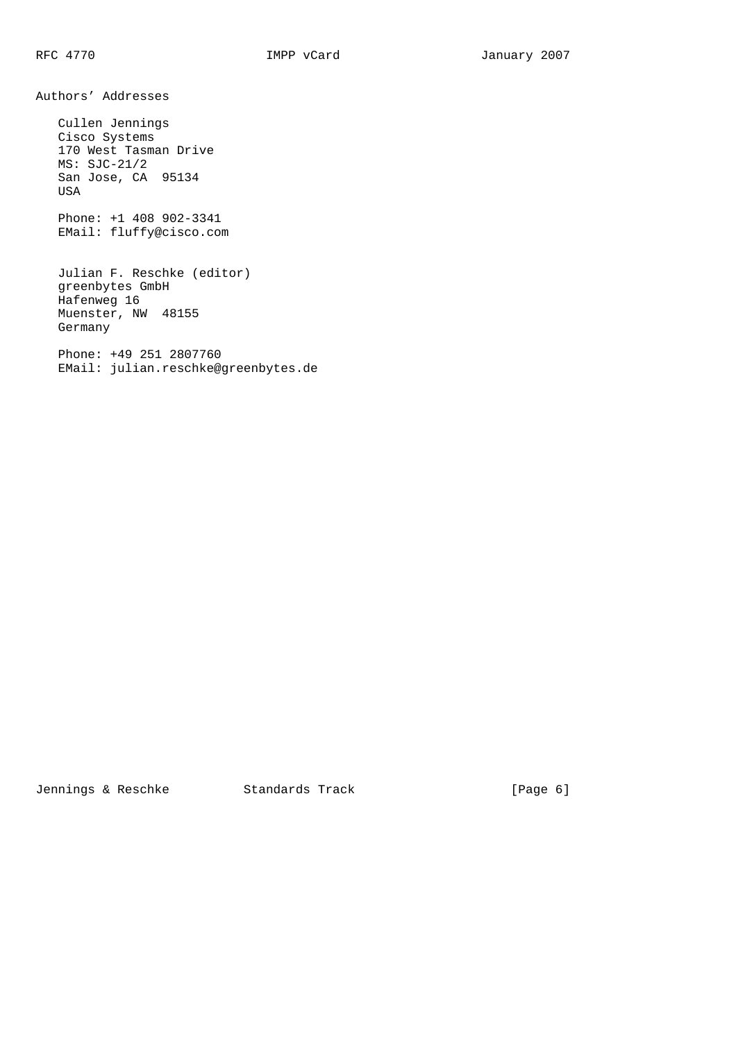Authors' Addresses

 Cullen Jennings Cisco Systems 170 West Tasman Drive MS: SJC-21/2 San Jose, CA 95134 USA

 Phone: +1 408 902-3341 EMail: fluffy@cisco.com

 Julian F. Reschke (editor) greenbytes GmbH Hafenweg 16 Muenster, NW 48155 Germany

 Phone: +49 251 2807760 EMail: julian.reschke@greenbytes.de

Jennings & Reschke Standards Track [Page 6]